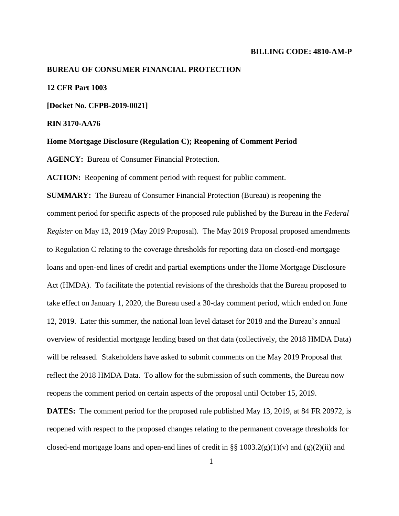#### **BILLING CODE: 4810-AM-P**

#### **BUREAU OF CONSUMER FINANCIAL PROTECTION**

# **12 CFR Part 1003**

**[Docket No. CFPB-2019-0021]**

**RIN 3170-AA76**

**Home Mortgage Disclosure (Regulation C); Reopening of Comment Period**

**AGENCY:** Bureau of Consumer Financial Protection.

**ACTION:** Reopening of comment period with request for public comment.

**SUMMARY:** The Bureau of Consumer Financial Protection (Bureau) is reopening the comment period for specific aspects of the proposed rule published by the Bureau in the *Federal Register* on May 13, 2019 (May 2019 Proposal). The May 2019 Proposal proposed amendments to Regulation C relating to the coverage thresholds for reporting data on closed-end mortgage loans and open-end lines of credit and partial exemptions under the Home Mortgage Disclosure Act (HMDA). To facilitate the potential revisions of the thresholds that the Bureau proposed to take effect on January 1, 2020, the Bureau used a 30-day comment period, which ended on June 12, 2019. Later this summer, the national loan level dataset for 2018 and the Bureau's annual overview of residential mortgage lending based on that data (collectively, the 2018 HMDA Data) will be released. Stakeholders have asked to submit comments on the May 2019 Proposal that reflect the 2018 HMDA Data. To allow for the submission of such comments, the Bureau now reopens the comment period on certain aspects of the proposal until October 15, 2019.

**DATES:** The comment period for the proposed rule published May 13, 2019, at 84 FR 20972, is reopened with respect to the proposed changes relating to the permanent coverage thresholds for closed-end mortgage loans and open-end lines of credit in §§ 1003.2(g)(1)(v) and (g)(2)(ii) and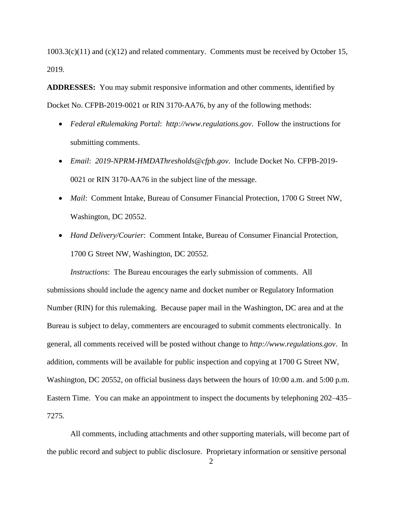$1003.3(c)(11)$  and  $(c)(12)$  and related commentary. Comments must be received by October 15, 2019.

**ADDRESSES:** You may submit responsive information and other comments, identified by Docket No. CFPB**-**2019-0021 or RIN 3170-AA76, by any of the following methods:

- *Federal eRulemaking Portal*: *http://www.regulations.gov*. Follow the instructions for submitting comments.
- *Email*: *2019-NPRM-HMDAThresholds@cfpb.gov*. Include Docket No. CFPB-2019- 0021 or RIN 3170-AA76 in the subject line of the message.
- *Mail*: Comment Intake, Bureau of Consumer Financial Protection, 1700 G Street NW, Washington, DC 20552.
- *Hand Delivery/Courier*: Comment Intake, Bureau of Consumer Financial Protection, 1700 G Street NW, Washington, DC 20552.

*Instructions*: The Bureau encourages the early submission of comments. All submissions should include the agency name and docket number or Regulatory Information Number (RIN) for this rulemaking. Because paper mail in the Washington, DC area and at the Bureau is subject to delay, commenters are encouraged to submit comments electronically. In general, all comments received will be posted without change to *http://www.regulations.gov*. In addition, comments will be available for public inspection and copying at 1700 G Street NW, Washington, DC 20552, on official business days between the hours of 10:00 a.m. and 5:00 p.m. Eastern Time. You can make an appointment to inspect the documents by telephoning 202–435– 7275.

All comments, including attachments and other supporting materials, will become part of the public record and subject to public disclosure. Proprietary information or sensitive personal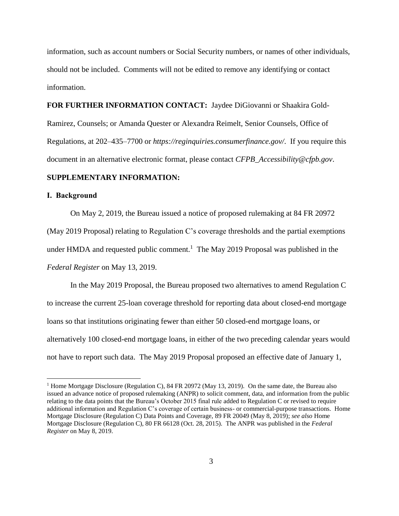information, such as account numbers or Social Security numbers, or names of other individuals, should not be included. Comments will not be edited to remove any identifying or contact information.

**FOR FURTHER INFORMATION CONTACT:** Jaydee DiGiovanni or Shaakira Gold-Ramirez, Counsels; or Amanda Quester or Alexandra Reimelt, Senior Counsels, Office of Regulations, at 202–435–7700 or *https://reginquiries.consumerfinance.gov/*. If you require this document in an alternative electronic format, please contact *CFPB\_Accessibility@cfpb.gov*.

# **SUPPLEMENTARY INFORMATION:**

## **I. Background**

 $\overline{a}$ 

On May 2, 2019, the Bureau issued a notice of proposed rulemaking at 84 FR 20972 (May 2019 Proposal) relating to Regulation C's coverage thresholds and the partial exemptions under HMDA and requested public comment.<sup>1</sup> The May 2019 Proposal was published in the *Federal Register* on May 13, 2019.

In the May 2019 Proposal, the Bureau proposed two alternatives to amend Regulation C to increase the current 25-loan coverage threshold for reporting data about closed-end mortgage loans so that institutions originating fewer than either 50 closed-end mortgage loans, or alternatively 100 closed-end mortgage loans, in either of the two preceding calendar years would not have to report such data. The May 2019 Proposal proposed an effective date of January 1,

<sup>&</sup>lt;sup>1</sup> Home Mortgage Disclosure (Regulation C), 84 FR 20972 (May 13, 2019). On the same date, the Bureau also issued an advance notice of proposed rulemaking (ANPR) to solicit comment, data, and information from the public relating to the data points that the Bureau's October 2015 final rule added to Regulation C or revised to require additional information and Regulation C's coverage of certain business- or commercial-purpose transactions. Home Mortgage Disclosure (Regulation C) Data Points and Coverage, 89 FR 20049 (May 8, 2019); *see also* Home Mortgage Disclosure (Regulation C), 80 FR 66128 (Oct. 28, 2015). The ANPR was published in the *Federal Register* on May 8, 2019.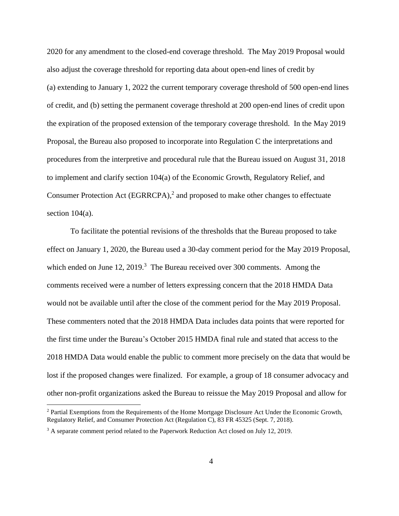2020 for any amendment to the closed-end coverage threshold. The May 2019 Proposal would also adjust the coverage threshold for reporting data about open-end lines of credit by (a) extending to January 1, 2022 the current temporary coverage threshold of 500 open-end lines of credit, and (b) setting the permanent coverage threshold at 200 open-end lines of credit upon the expiration of the proposed extension of the temporary coverage threshold. In the May 2019 Proposal, the Bureau also proposed to incorporate into Regulation C the interpretations and procedures from the interpretive and procedural rule that the Bureau issued on August 31, 2018 to implement and clarify section 104(a) of the Economic Growth, Regulatory Relief, and Consumer Protection Act (EGRRCPA),<sup>2</sup> and proposed to make other changes to effectuate section 104(a).

To facilitate the potential revisions of the thresholds that the Bureau proposed to take effect on January 1, 2020, the Bureau used a 30-day comment period for the May 2019 Proposal, which ended on June  $12$ ,  $2019$ .<sup>3</sup> The Bureau received over 300 comments. Among the comments received were a number of letters expressing concern that the 2018 HMDA Data would not be available until after the close of the comment period for the May 2019 Proposal. These commenters noted that the 2018 HMDA Data includes data points that were reported for the first time under the Bureau's October 2015 HMDA final rule and stated that access to the 2018 HMDA Data would enable the public to comment more precisely on the data that would be lost if the proposed changes were finalized. For example, a group of 18 consumer advocacy and other non-profit organizations asked the Bureau to reissue the May 2019 Proposal and allow for

 $\overline{a}$ 

<sup>&</sup>lt;sup>2</sup> Partial Exemptions from the Requirements of the Home Mortgage Disclosure Act Under the Economic Growth, Regulatory Relief, and Consumer Protection Act (Regulation C), 83 FR 45325 (Sept. 7, 2018).

<sup>&</sup>lt;sup>3</sup> A separate comment period related to the Paperwork Reduction Act closed on July 12, 2019.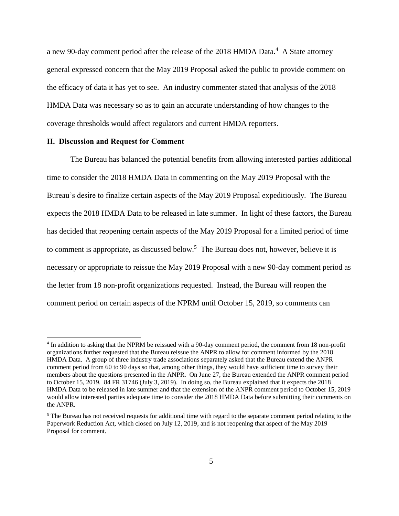a new 90-day comment period after the release of the 2018 HMDA Data.<sup>4</sup> A State attorney general expressed concern that the May 2019 Proposal asked the public to provide comment on the efficacy of data it has yet to see. An industry commenter stated that analysis of the 2018 HMDA Data was necessary so as to gain an accurate understanding of how changes to the coverage thresholds would affect regulators and current HMDA reporters.

## **II. Discussion and Request for Comment**

 $\overline{a}$ 

The Bureau has balanced the potential benefits from allowing interested parties additional time to consider the 2018 HMDA Data in commenting on the May 2019 Proposal with the Bureau's desire to finalize certain aspects of the May 2019 Proposal expeditiously. The Bureau expects the 2018 HMDA Data to be released in late summer. In light of these factors, the Bureau has decided that reopening certain aspects of the May 2019 Proposal for a limited period of time to comment is appropriate, as discussed below.<sup>5</sup> The Bureau does not, however, believe it is necessary or appropriate to reissue the May 2019 Proposal with a new 90-day comment period as the letter from 18 non-profit organizations requested. Instead, the Bureau will reopen the comment period on certain aspects of the NPRM until October 15, 2019, so comments can

<sup>&</sup>lt;sup>4</sup> In addition to asking that the NPRM be reissued with a 90-day comment period, the comment from 18 non-profit organizations further requested that the Bureau reissue the ANPR to allow for comment informed by the 2018 HMDA Data. A group of three industry trade associations separately asked that the Bureau extend the ANPR comment period from 60 to 90 days so that, among other things, they would have sufficient time to survey their members about the questions presented in the ANPR. On June 27, the Bureau extended the ANPR comment period to October 15, 2019. 84 FR 31746 (July 3, 2019). In doing so, the Bureau explained that it expects the 2018 HMDA Data to be released in late summer and that the extension of the ANPR comment period to October 15, 2019 would allow interested parties adequate time to consider the 2018 HMDA Data before submitting their comments on the ANPR.

<sup>&</sup>lt;sup>5</sup> The Bureau has not received requests for additional time with regard to the separate comment period relating to the Paperwork Reduction Act, which closed on July 12, 2019, and is not reopening that aspect of the May 2019 Proposal for comment.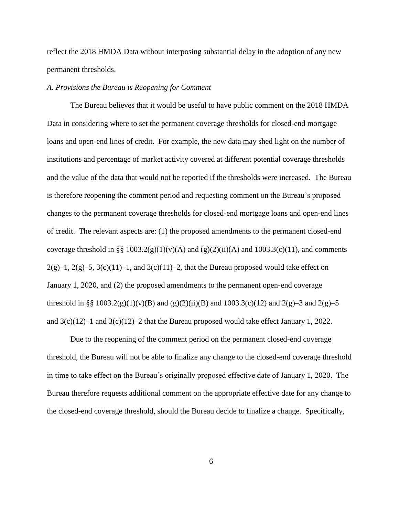reflect the 2018 HMDA Data without interposing substantial delay in the adoption of any new permanent thresholds.

# *A. Provisions the Bureau is Reopening for Comment*

The Bureau believes that it would be useful to have public comment on the 2018 HMDA Data in considering where to set the permanent coverage thresholds for closed-end mortgage loans and open-end lines of credit. For example, the new data may shed light on the number of institutions and percentage of market activity covered at different potential coverage thresholds and the value of the data that would not be reported if the thresholds were increased. The Bureau is therefore reopening the comment period and requesting comment on the Bureau's proposed changes to the permanent coverage thresholds for closed-end mortgage loans and open-end lines of credit. The relevant aspects are: (1) the proposed amendments to the permanent closed-end coverage threshold in §§ 1003.2(g)(1)(v)(A) and (g)(2)(ii)(A) and 1003.3(c)(11), and comments  $2(g)-1$ ,  $2(g)-5$ ,  $3(c)(11)-1$ , and  $3(c)(11)-2$ , that the Bureau proposed would take effect on January 1, 2020, and (2) the proposed amendments to the permanent open-end coverage threshold in §§ 1003.2(g)(1)(v)(B) and (g)(2)(ii)(B) and 1003.3(c)(12) and 2(g)–3 and 2(g)–5 and  $3(c)(12)-1$  and  $3(c)(12)-2$  that the Bureau proposed would take effect January 1, 2022.

Due to the reopening of the comment period on the permanent closed-end coverage threshold, the Bureau will not be able to finalize any change to the closed-end coverage threshold in time to take effect on the Bureau's originally proposed effective date of January 1, 2020. The Bureau therefore requests additional comment on the appropriate effective date for any change to the closed-end coverage threshold, should the Bureau decide to finalize a change. Specifically,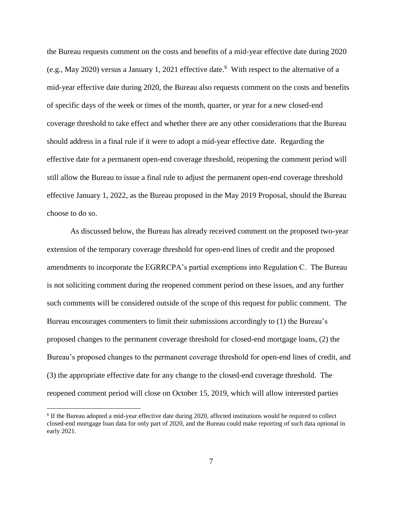the Bureau requests comment on the costs and benefits of a mid-year effective date during 2020 (e.g., May 2020) versus a January 1, 2021 effective date. 6 With respect to the alternative of a mid-year effective date during 2020, the Bureau also requests comment on the costs and benefits of specific days of the week or times of the month, quarter, or year for a new closed-end coverage threshold to take effect and whether there are any other considerations that the Bureau should address in a final rule if it were to adopt a mid-year effective date. Regarding the effective date for a permanent open-end coverage threshold, reopening the comment period will still allow the Bureau to issue a final rule to adjust the permanent open-end coverage threshold effective January 1, 2022, as the Bureau proposed in the May 2019 Proposal, should the Bureau choose to do so.

As discussed below, the Bureau has already received comment on the proposed two-year extension of the temporary coverage threshold for open-end lines of credit and the proposed amendments to incorporate the EGRRCPA's partial exemptions into Regulation C. The Bureau is not soliciting comment during the reopened comment period on these issues, and any further such comments will be considered outside of the scope of this request for public comment. The Bureau encourages commenters to limit their submissions accordingly to (1) the Bureau's proposed changes to the permanent coverage threshold for closed-end mortgage loans, (2) the Bureau's proposed changes to the permanent coverage threshold for open-end lines of credit, and (3) the appropriate effective date for any change to the closed-end coverage threshold. The reopened comment period will close on October 15, 2019, which will allow interested parties

 $\overline{a}$ 

<sup>&</sup>lt;sup>6</sup> If the Bureau adopted a mid-year effective date during 2020, affected institutions would be required to collect closed-end mortgage loan data for only part of 2020, and the Bureau could make reporting of such data optional in early 2021.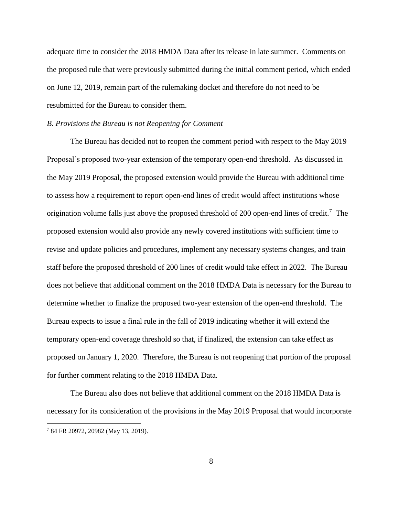adequate time to consider the 2018 HMDA Data after its release in late summer. Comments on the proposed rule that were previously submitted during the initial comment period, which ended on June 12, 2019, remain part of the rulemaking docket and therefore do not need to be resubmitted for the Bureau to consider them.

## *B. Provisions the Bureau is not Reopening for Comment*

The Bureau has decided not to reopen the comment period with respect to the May 2019 Proposal's proposed two-year extension of the temporary open-end threshold. As discussed in the May 2019 Proposal, the proposed extension would provide the Bureau with additional time to assess how a requirement to report open-end lines of credit would affect institutions whose origination volume falls just above the proposed threshold of 200 open-end lines of credit.<sup>7</sup> The proposed extension would also provide any newly covered institutions with sufficient time to revise and update policies and procedures, implement any necessary systems changes, and train staff before the proposed threshold of 200 lines of credit would take effect in 2022. The Bureau does not believe that additional comment on the 2018 HMDA Data is necessary for the Bureau to determine whether to finalize the proposed two-year extension of the open-end threshold. The Bureau expects to issue a final rule in the fall of 2019 indicating whether it will extend the temporary open-end coverage threshold so that, if finalized, the extension can take effect as proposed on January 1, 2020. Therefore, the Bureau is not reopening that portion of the proposal for further comment relating to the 2018 HMDA Data.

The Bureau also does not believe that additional comment on the 2018 HMDA Data is necessary for its consideration of the provisions in the May 2019 Proposal that would incorporate  $\overline{a}$ <sup>7</sup> 84 FR 20972, 20982 (May 13, 2019).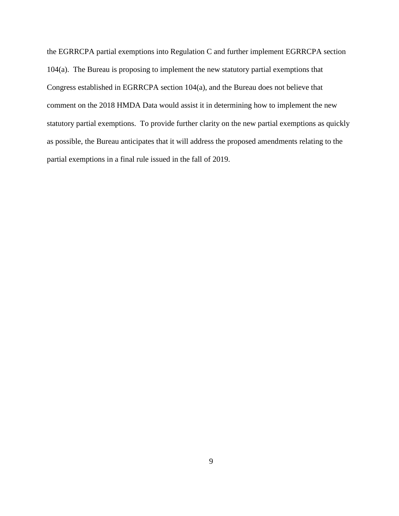the EGRRCPA partial exemptions into Regulation C and further implement EGRRCPA section 104(a). The Bureau is proposing to implement the new statutory partial exemptions that Congress established in EGRRCPA section 104(a), and the Bureau does not believe that comment on the 2018 HMDA Data would assist it in determining how to implement the new statutory partial exemptions. To provide further clarity on the new partial exemptions as quickly as possible, the Bureau anticipates that it will address the proposed amendments relating to the partial exemptions in a final rule issued in the fall of 2019.